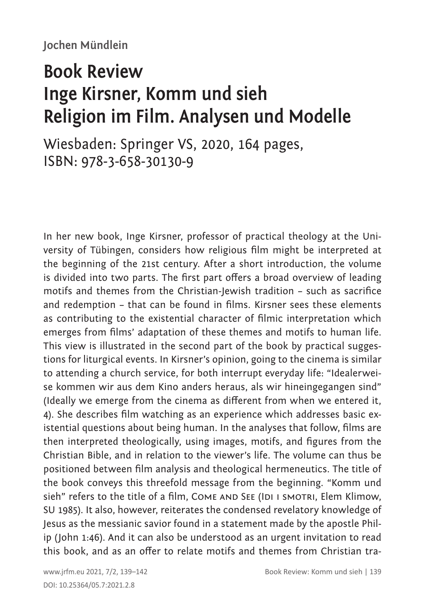## **Book Review Inge Kirsner, Komm und sieh Religion im Film. Analysen und Modelle**

Wiesbaden: Springer VS, 2020, 164 pages, ISBN: 978-3-658-30130-9

In her new book, Inge Kirsner, professor of practical theology at the University of Tübingen, considers how religious film might be interpreted at the beginning of the 21st century. After a short introduction, the volume is divided into two parts. The first part offers a broad overview of leading motifs and themes from the Christian-Jewish tradition – such as sacrifice and redemption – that can be found in films. Kirsner sees these elements as contributing to the existential character of filmic interpretation which emerges from films' adaptation of these themes and motifs to human life. This view is illustrated in the second part of the book by practical suggestions for liturgical events. In Kirsner's opinion, going to the cinema is similar to attending a church service, for both interrupt everyday life: "Idealerweise kommen wir aus dem Kino anders heraus, als wir hineingegangen sind" (Ideally we emerge from the cinema as different from when we entered it, 4). She describes film watching as an experience which addresses basic existential questions about being human. In the analyses that follow, films are then interpreted theologically, using images, motifs, and figures from the Christian Bible, and in relation to the viewer's life. The volume can thus be positioned between film analysis and theological hermeneutics. The title of the book conveys this threefold message from the beginning. "Komm und sieh" refers to the title of a film, COME AND SEE (IDI I SMOTRI, Elem Klimow, SU 1985). It also, however, reiterates the condensed revelatory knowledge of Jesus as the messianic savior found in a statement made by the apostle Philip (John 1:46). And it can also be understood as an urgent invitation to read this book, and as an offer to relate motifs and themes from Christian tra-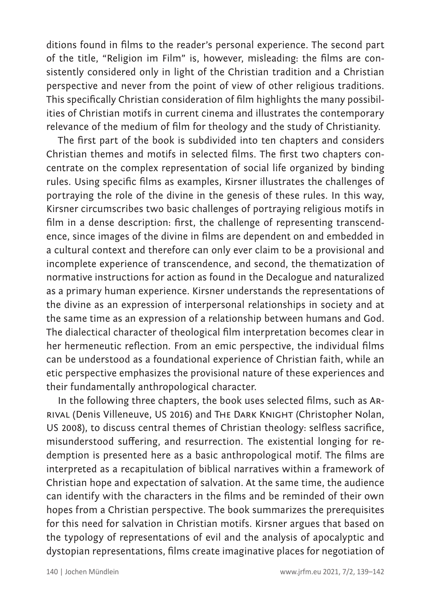ditions found in films to the reader's personal experience. The second part of the title, "Religion im Film" is, however, misleading: the films are consistently considered only in light of the Christian tradition and a Christian perspective and never from the point of view of other religious traditions. This specifically Christian consideration of film highlights the many possibilities of Christian motifs in current cinema and illustrates the contemporary relevance of the medium of film for theology and the study of Christianity.

The first part of the book is subdivided into ten chapters and considers Christian themes and motifs in selected films. The first two chapters concentrate on the complex representation of social life organized by binding rules. Using specific films as examples, Kirsner illustrates the challenges of portraying the role of the divine in the genesis of these rules. In this way, Kirsner circumscribes two basic challenges of portraying religious motifs in film in a dense description: first, the challenge of representing transcendence, since images of the divine in films are dependent on and embedded in a cultural context and therefore can only ever claim to be a provisional and incomplete experience of transcendence, and second, the thematization of normative instructions for action as found in the Decalogue and naturalized as a primary human experience. Kirsner understands the representations of the divine as an expression of interpersonal relationships in society and at the same time as an expression of a relationship between humans and God. The dialectical character of theological film interpretation becomes clear in her hermeneutic reflection. From an emic perspective, the individual films can be understood as a foundational experience of Christian faith, while an etic perspective emphasizes the provisional nature of these experiences and their fundamentally anthropological character.

In the following three chapters, the book uses selected films, such as Arrival (Denis Villeneuve, US 2016) and The Dark Knight (Christopher Nolan, US 2008), to discuss central themes of Christian theology: selfless sacrifice, misunderstood suffering, and resurrection. The existential longing for redemption is presented here as a basic anthropological motif. The films are interpreted as a recapitulation of biblical narratives within a framework of Christian hope and expectation of salvation. At the same time, the audience can identify with the characters in the films and be reminded of their own hopes from a Christian perspective. The book summarizes the prerequisites for this need for salvation in Christian motifs. Kirsner argues that based on the typology of representations of evil and the analysis of apocalyptic and dystopian representations, films create imaginative places for negotiation of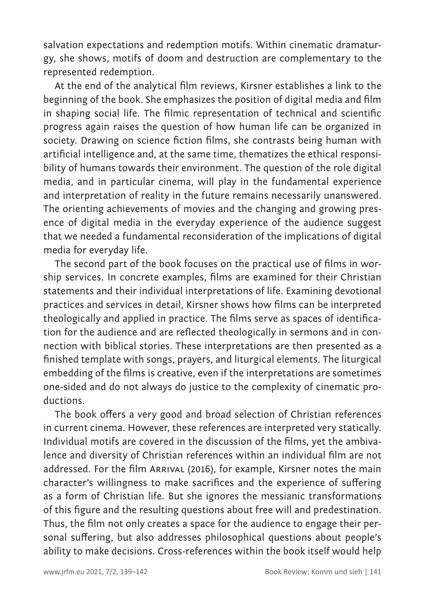salvation expectations and redemption motifs. Within cinematic dramaturgy, she shows, motifs of doom and destruction are complementary to the represented redemption.

At the end of the analytical film reviews, Kirsner establishes a link to the beginning of the book. She emphasizes the position of digital media and film in shaping social life. The filmic representation of technical and scientific progress again raises the question of how human life can be organized in society. Drawing on science fiction films, she contrasts being human with artificial intelligence and, at the same time, thematizes the ethical responsibility of humans towards their environment. The question of the role digital media, and in particular cinema, will play in the fundamental experience and interpretation of reality in the future remains necessarily unanswered. The orienting achievements of movies and the changing and growing presence of digital media in the everyday experience of the audience suggest that we needed a fundamental reconsideration of the implications of digital media for everyday life.

The second part of the book focuses on the practical use of films in worship services. In concrete examples, films are examined for their Christian statements and their individual interpretations of life. Examining devotional practices and services in detail, Kirsner shows how films can be interpreted theologically and applied in practice. The films serve as spaces of identification for the audience and are reflected theologically in sermons and in connection with biblical stories. These interpretations are then presented as a finished template with songs, prayers, and liturgical elements. The liturgical embedding of the films is creative, even if the interpretations are sometimes one-sided and do not always do justice to the complexity of cinematic productions.

The book offers a very good and broad selection of Christian references in current cinema. However, these references are interpreted very statically. Individual motifs are covered in the discussion of the films, yet the ambivalence and diversity of Christian references within an individual film are not addressed. For the film Arrival (2016), for example, Kirsner notes the main character's willingness to make sacrifices and the experience of suffering as a form of Christian life. But she ignores the messianic transformations of this figure and the resulting questions about free will and predestination. Thus, the film not only creates a space for the audience to engage their personal suffering, but also addresses philosophical questions about people's ability to make decisions. Cross-references within the book itself would help